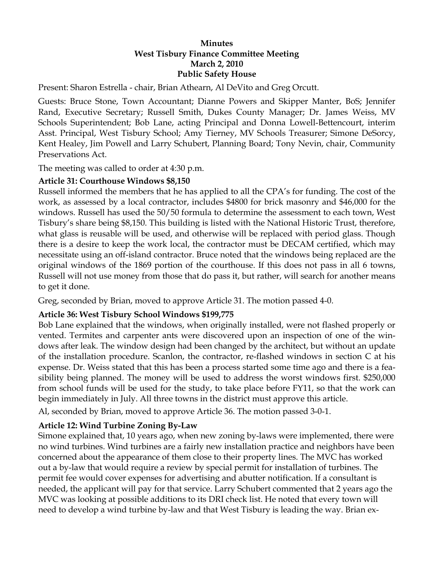#### **Minutes West Tisbury Finance Committee Meeting March 2, 2010 Public Safety House**

Present: Sharon Estrella - chair, Brian Athearn, Al DeVito and Greg Orcutt.

Guests: Bruce Stone, Town Accountant; Dianne Powers and Skipper Manter, BoS; Jennifer Rand, Executive Secretary; Russell Smith, Dukes County Manager; Dr. James Weiss, MV Schools Superintendent; Bob Lane, acting Principal and Donna Lowell-Bettencourt, interim Asst. Principal, West Tisbury School; Amy Tierney, MV Schools Treasurer; Simone DeSorcy, Kent Healey, Jim Powell and Larry Schubert, Planning Board; Tony Nevin, chair, Community Preservations Act.

The meeting was called to order at 4:30 p.m.

### **Article 31: Courthouse Windows \$8,150**

Russell informed the members that he has applied to all the CPA's for funding. The cost of the work, as assessed by a local contractor, includes \$4800 for brick masonry and \$46,000 for the windows. Russell has used the 50/50 formula to determine the assessment to each town, West Tisbury's share being \$8,150. This building is listed with the National Historic Trust, therefore, what glass is reusable will be used, and otherwise will be replaced with period glass. Though there is a desire to keep the work local, the contractor must be DECAM certified, which may necessitate using an off-island contractor. Bruce noted that the windows being replaced are the original windows of the 1869 portion of the courthouse. If this does not pass in all 6 towns, Russell will not use money from those that do pass it, but rather, will search for another means to get it done.

Greg, seconded by Brian, moved to approve Article 31. The motion passed 4-0.

## **Article 36: West Tisbury School Windows \$199,775**

Bob Lane explained that the windows, when originally installed, were not flashed properly or vented. Termites and carpenter ants were discovered upon an inspection of one of the windows after leak. The window design had been changed by the architect, but without an update of the installation procedure. Scanlon, the contractor, re-flashed windows in section C at his expense. Dr. Weiss stated that this has been a process started some time ago and there is a feasibility being planned. The money will be used to address the worst windows first. \$250,000 from school funds will be used for the study, to take place before FY11, so that the work can begin immediately in July. All three towns in the district must approve this article.

Al, seconded by Brian, moved to approve Article 36. The motion passed 3-0-1.

## **Article 12: Wind Turbine Zoning By-Law**

Simone explained that, 10 years ago, when new zoning by-laws were implemented, there were no wind turbines. Wind turbines are a fairly new installation practice and neighbors have been concerned about the appearance of them close to their property lines. The MVC has worked out a by-law that would require a review by special permit for installation of turbines. The permit fee would cover expenses for advertising and abutter notification. If a consultant is needed, the applicant will pay for that service. Larry Schubert commented that 2 years ago the MVC was looking at possible additions to its DRI check list. He noted that every town will need to develop a wind turbine by-law and that West Tisbury is leading the way. Brian ex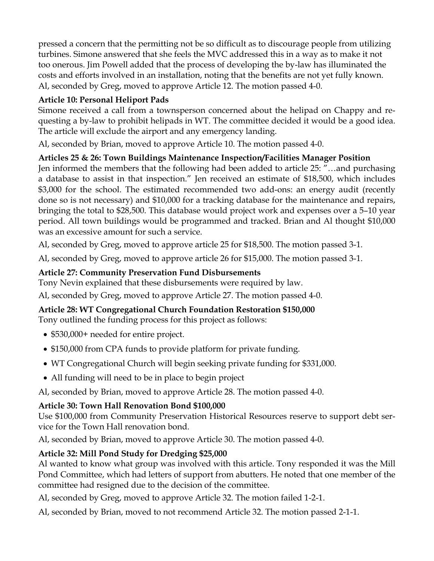pressed a concern that the permitting not be so difficult as to discourage people from utilizing turbines. Simone answered that she feels the MVC addressed this in a way as to make it not too onerous. Jim Powell added that the process of developing the by-law has illuminated the costs and efforts involved in an installation, noting that the benefits are not yet fully known. Al, seconded by Greg, moved to approve Article 12. The motion passed 4-0.

# **Article 10: Personal Heliport Pads**

Simone received a call from a townsperson concerned about the helipad on Chappy and requesting a by-law to prohibit helipads in WT. The committee decided it would be a good idea. The article will exclude the airport and any emergency landing.

Al, seconded by Brian, moved to approve Article 10. The motion passed 4-0.

# **Articles 25 & 26: Town Buildings Maintenance Inspection/Facilities Manager Position**

Jen informed the members that the following had been added to article 25: "…and purchasing a database to assist in that inspection." Jen received an estimate of \$18,500, which includes \$3,000 for the school. The estimated recommended two add-ons: an energy audit (recently done so is not necessary) and \$10,000 for a tracking database for the maintenance and repairs, bringing the total to \$28,500. This database would project work and expenses over a 5–10 year period. All town buildings would be programmed and tracked. Brian and Al thought \$10,000 was an excessive amount for such a service.

Al, seconded by Greg, moved to approve article 25 for \$18,500. The motion passed 3-1.

Al, seconded by Greg, moved to approve article 26 for \$15,000. The motion passed 3-1.

## **Article 27: Community Preservation Fund Disbursements**

Tony Nevin explained that these disbursements were required by law.

Al, seconded by Greg, moved to approve Article 27. The motion passed 4-0.

## **Article 28: WT Congregational Church Foundation Restoration \$150,000**

Tony outlined the funding process for this project as follows:

- \$530,000+ needed for entire project.
- \$150,000 from CPA funds to provide platform for private funding.
- WT Congregational Church will begin seeking private funding for \$331,000.
- All funding will need to be in place to begin project

Al, seconded by Brian, moved to approve Article 28. The motion passed 4-0.

# **Article 30: Town Hall Renovation Bond \$100,000**

Use \$100,000 from Community Preservation Historical Resources reserve to support debt service for the Town Hall renovation bond.

Al, seconded by Brian, moved to approve Article 30. The motion passed 4-0.

# **Article 32: Mill Pond Study for Dredging \$25,000**

Al wanted to know what group was involved with this article. Tony responded it was the Mill Pond Committee, which had letters of support from abutters. He noted that one member of the committee had resigned due to the decision of the committee.

Al, seconded by Greg, moved to approve Article 32. The motion failed 1-2-1.

Al, seconded by Brian, moved to not recommend Article 32. The motion passed 2-1-1.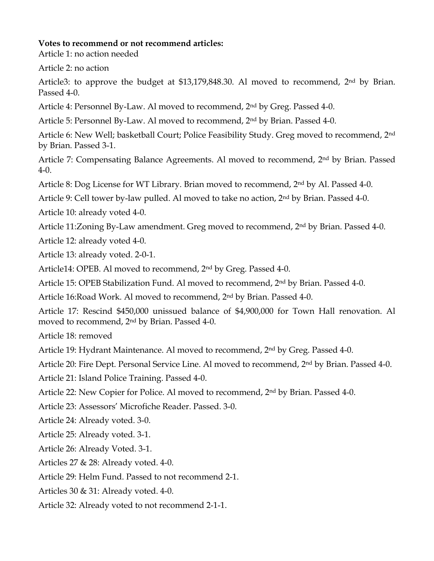#### **Votes to recommend or not recommend articles:**

Article 1: no action needed

Article 2: no action

Article3: to approve the budget at \$13,179,848.30. Al moved to recommend, 2<sup>nd</sup> by Brian. Passed 4-0.

Article 4: Personnel By-Law. Al moved to recommend, 2nd by Greg. Passed 4-0.

Article 5: Personnel By-Law. Al moved to recommend, 2nd by Brian. Passed 4-0.

Article 6: New Well; basketball Court; Police Feasibility Study. Greg moved to recommend, 2nd by Brian. Passed 3-1.

Article 7: Compensating Balance Agreements. Al moved to recommend, 2nd by Brian. Passed 4-0.

Article 8: Dog License for WT Library. Brian moved to recommend, 2<sup>nd</sup> by Al. Passed 4-0.

Article 9: Cell tower by-law pulled. Al moved to take no action, 2nd by Brian. Passed 4-0.

Article 10: already voted 4-0.

Article 11:Zoning By-Law amendment. Greg moved to recommend, 2nd by Brian. Passed 4-0.

Article 12: already voted 4-0.

Article 13: already voted. 2-0-1.

Article14: OPEB. Al moved to recommend, 2nd by Greg. Passed 4-0.

Article 15: OPEB Stabilization Fund. Al moved to recommend, 2nd by Brian. Passed 4-0.

Article 16:Road Work. Al moved to recommend, 2nd by Brian. Passed 4-0.

Article 17: Rescind \$450,000 unissued balance of \$4,900,000 for Town Hall renovation. Al moved to recommend, 2nd by Brian. Passed 4-0.

Article 18: removed

Article 19: Hydrant Maintenance. Al moved to recommend, 2nd by Greg. Passed 4-0.

Article 20: Fire Dept. Personal Service Line. Al moved to recommend, 2<sup>nd</sup> by Brian. Passed 4-0.

Article 21: Island Police Training. Passed 4-0.

Article 22: New Copier for Police. Al moved to recommend,  $2<sup>nd</sup>$  by Brian. Passed 4-0.

Article 23: Assessors' Microfiche Reader. Passed. 3-0.

Article 24: Already voted. 3-0.

Article 25: Already voted. 3-1.

Article 26: Already Voted. 3-1.

Articles 27 & 28: Already voted. 4-0.

Article 29: Helm Fund. Passed to not recommend 2-1.

Articles 30 & 31: Already voted. 4-0.

Article 32: Already voted to not recommend 2-1-1.